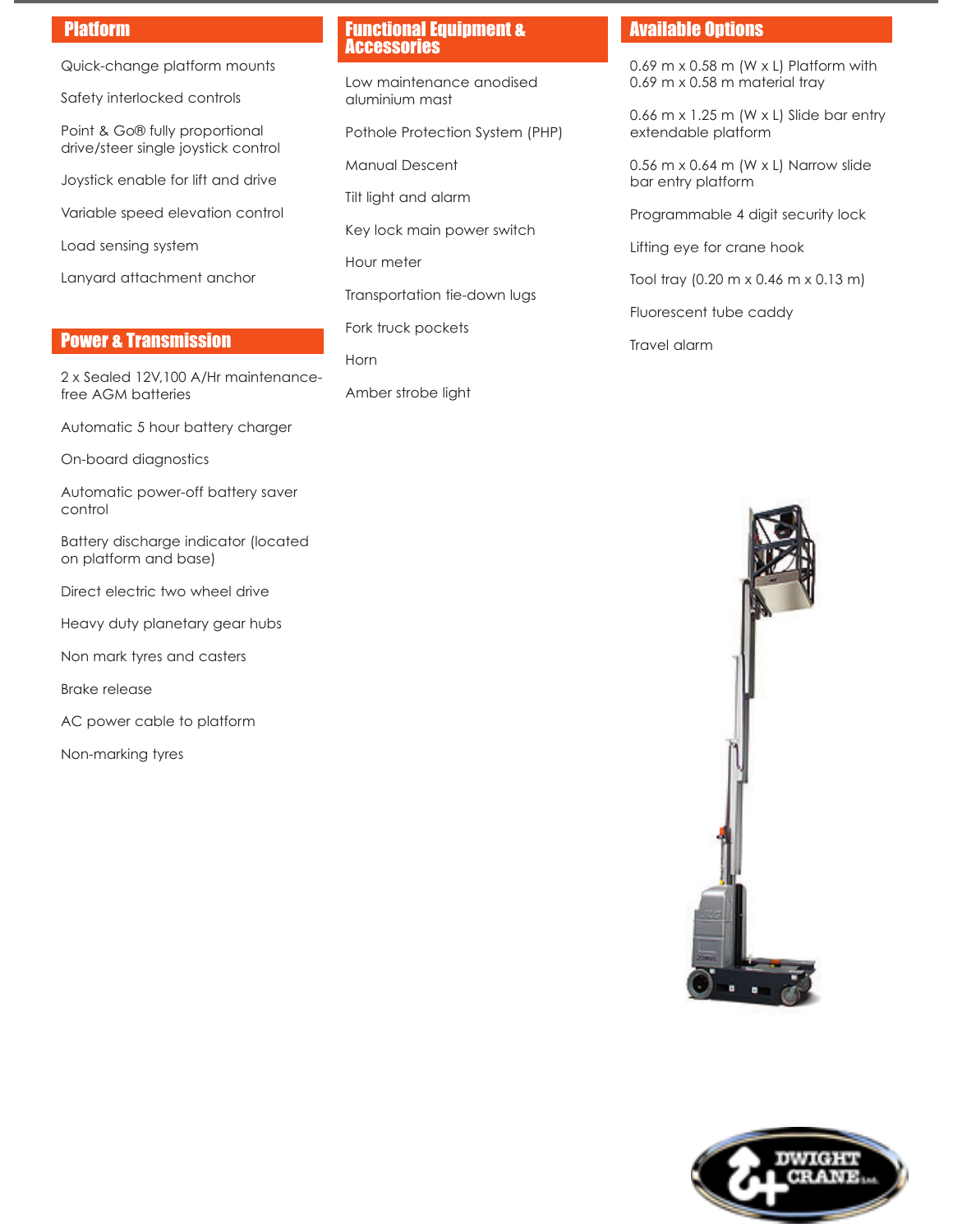## Platform

Quick-change platform mounts

Safety interlocked controls

Point & Go® fully proportional drive/steer single joystick control

Joystick enable for lift and drive

Variable speed elevation control

Load sensing system

Lanyard attachment anchor

## Power & Transmission

2 x Sealed 12V,100 A/Hr maintenancefree AGM batteries

Automatic 5 hour battery charger

On-board diagnostics

Automatic power-off battery saver control

Battery discharge indicator (located on platform and base)

Direct electric two wheel drive

Heavy duty planetary gear hubs

Non mark tyres and casters

Brake release

AC power cable to platform

Non-marking tyres

## Functional Equipment & **Accessories**

Low maintenance anodised aluminium mast

Pothole Protection System (PHP)

Manual Descent

Tilt light and alarm

Key lock main power switch

Hour meter

Transportation tie-down lugs

Fork truck pockets

Horn

Amber strobe light

## Available Options

0.69 m  $\times$  0.58 m (W  $\times$  L) Platform with 0.69 m x 0.58 m material tray

0.66 m  $\times$  1.25 m (W  $\times$  L) Slide bar entry extendable platform

0.56 m x 0.64 m (W x L) Narrow slide bar entry platform

Programmable 4 digit security lock

Lifting eye for crane hook

Tool tray (0.20 m x 0.46 m x 0.13 m)

Fluorescent tube caddy

Travel alarm